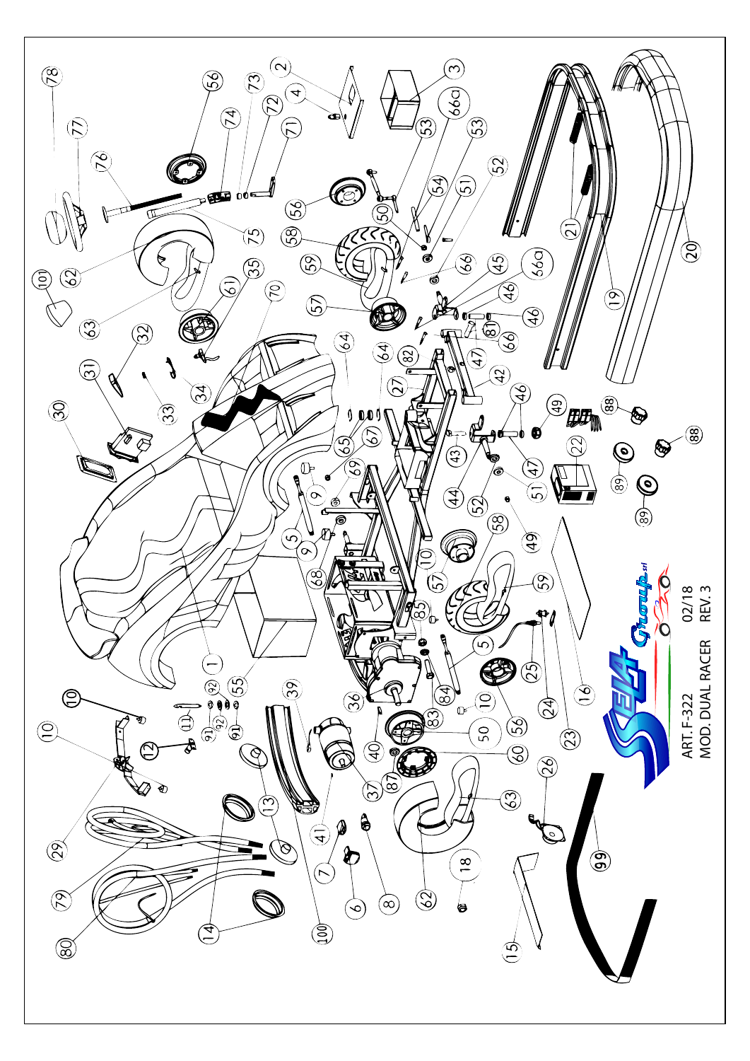